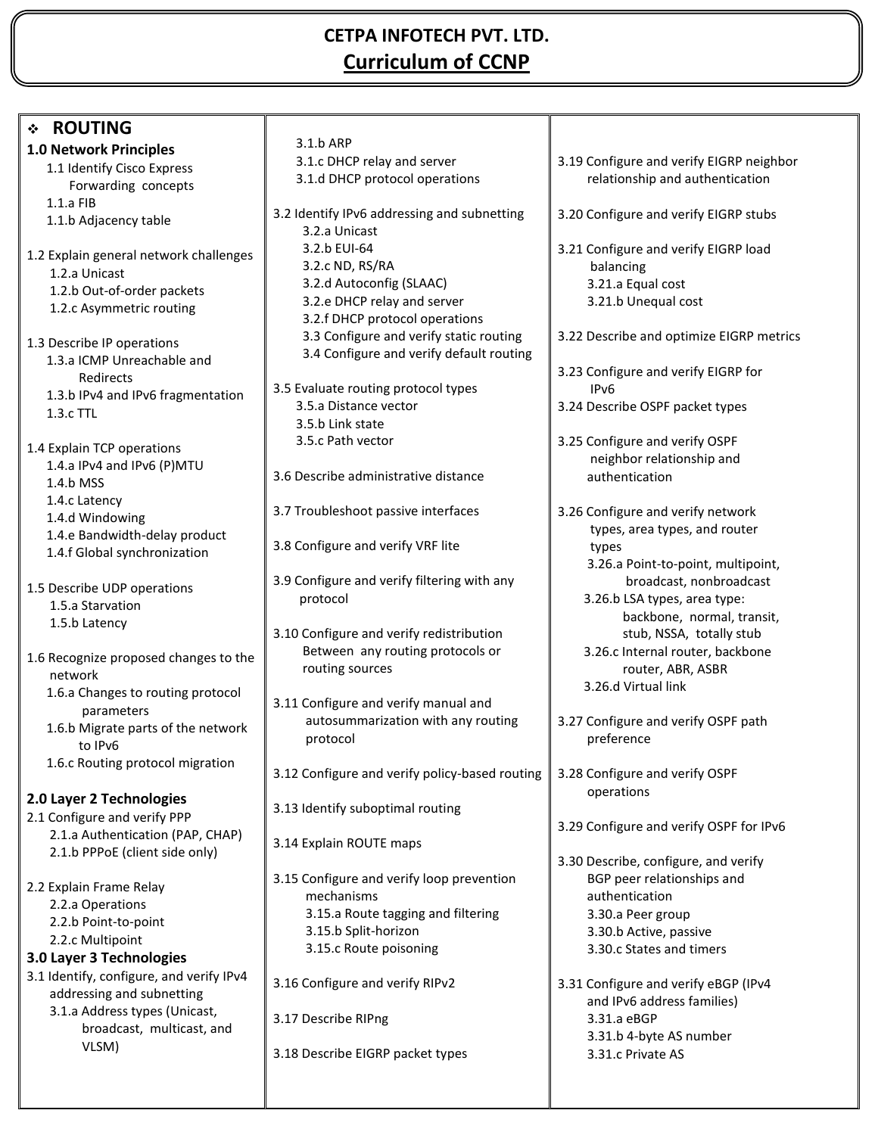## **CETPA INFOTECH PVT. LTD. Curriculum of CCNP**

| <b>ROUTING</b><br>$\cdot$                        |                                                                              |                                                              |
|--------------------------------------------------|------------------------------------------------------------------------------|--------------------------------------------------------------|
| <b>1.0 Network Principles</b>                    | 3.1.b ARP                                                                    |                                                              |
| 1.1 Identify Cisco Express                       | 3.1.c DHCP relay and server                                                  | 3.19 Configure and verify EIGRP neighbor                     |
| Forwarding concepts                              | 3.1.d DHCP protocol operations                                               | relationship and authentication                              |
| $1.1.a$ FIB                                      |                                                                              |                                                              |
| 1.1.b Adjacency table                            | 3.2 Identify IPv6 addressing and subnetting                                  | 3.20 Configure and verify EIGRP stubs                        |
|                                                  | 3.2.a Unicast<br>3.2.b EUI-64                                                | 3.21 Configure and verify EIGRP load                         |
| 1.2 Explain general network challenges           | 3.2.c ND, RS/RA                                                              | balancing                                                    |
| 1.2.a Unicast                                    | 3.2.d Autoconfig (SLAAC)                                                     | 3.21.a Equal cost                                            |
| 1.2.b Out-of-order packets                       | 3.2.e DHCP relay and server                                                  | 3.21.b Unequal cost                                          |
| 1.2.c Asymmetric routing                         | 3.2.f DHCP protocol operations                                               |                                                              |
| 1.3 Describe IP operations                       | 3.3 Configure and verify static routing                                      | 3.22 Describe and optimize EIGRP metrics                     |
| 1.3.a ICMP Unreachable and                       | 3.4 Configure and verify default routing                                     |                                                              |
| Redirects                                        |                                                                              | 3.23 Configure and verify EIGRP for                          |
| 1.3.b IPv4 and IPv6 fragmentation                | 3.5 Evaluate routing protocol types                                          | IP <sub>v6</sub>                                             |
| 1.3.c TTL                                        | 3.5.a Distance vector                                                        | 3.24 Describe OSPF packet types                              |
|                                                  | 3.5.b Link state<br>3.5.c Path vector                                        | 3.25 Configure and verify OSPF                               |
| 1.4 Explain TCP operations                       |                                                                              | neighbor relationship and                                    |
| 1.4.a IPv4 and IPv6 (P)MTU                       | 3.6 Describe administrative distance                                         | authentication                                               |
| 1.4.b MSS                                        |                                                                              |                                                              |
| 1.4.c Latency                                    | 3.7 Troubleshoot passive interfaces                                          | 3.26 Configure and verify network                            |
| 1.4.d Windowing<br>1.4.e Bandwidth-delay product |                                                                              | types, area types, and router                                |
| 1.4.f Global synchronization                     | 3.8 Configure and verify VRF lite                                            | types                                                        |
|                                                  |                                                                              | 3.26.a Point-to-point, multipoint,                           |
| 1.5 Describe UDP operations                      | 3.9 Configure and verify filtering with any                                  | broadcast, nonbroadcast                                      |
| 1.5.a Starvation                                 | protocol                                                                     | 3.26.b LSA types, area type:                                 |
| 1.5.b Latency                                    |                                                                              | backbone, normal, transit,                                   |
|                                                  | 3.10 Configure and verify redistribution<br>Between any routing protocols or | stub, NSSA, totally stub<br>3.26.c Internal router, backbone |
| 1.6 Recognize proposed changes to the            | routing sources                                                              | router, ABR, ASBR                                            |
| network                                          |                                                                              | 3.26.d Virtual link                                          |
| 1.6.a Changes to routing protocol<br>parameters  | 3.11 Configure and verify manual and                                         |                                                              |
| 1.6.b Migrate parts of the network               | autosummarization with any routing                                           | 3.27 Configure and verify OSPF path                          |
| to IPv6                                          | protocol                                                                     | preference                                                   |
| 1.6.c Routing protocol migration                 |                                                                              |                                                              |
|                                                  | 3.12 Configure and verify policy-based routing                               | 3.28 Configure and verify OSPF                               |
| 2.0 Layer 2 Technologies                         |                                                                              | operations                                                   |
| 2.1 Configure and verify PPP                     | 3.13 Identify suboptimal routing                                             |                                                              |
| 2.1.a Authentication (PAP, CHAP)                 | 3.14 Explain ROUTE maps                                                      | 3.29 Configure and verify OSPF for IPv6                      |
| 2.1.b PPPoE (client side only)                   |                                                                              | 3.30 Describe, configure, and verify                         |
|                                                  | 3.15 Configure and verify loop prevention                                    | BGP peer relationships and                                   |
| 2.2 Explain Frame Relay                          | mechanisms                                                                   | authentication                                               |
| 2.2.a Operations                                 | 3.15.a Route tagging and filtering                                           | 3.30.a Peer group                                            |
| 2.2.b Point-to-point<br>2.2.c Multipoint         | 3.15.b Split-horizon                                                         | 3.30.b Active, passive                                       |
| 3.0 Layer 3 Technologies                         | 3.15.c Route poisoning                                                       | 3.30.c States and timers                                     |
| 3.1 Identify, configure, and verify IPv4         |                                                                              |                                                              |
| addressing and subnetting                        | 3.16 Configure and verify RIPv2                                              | 3.31 Configure and verify eBGP (IPv4                         |
| 3.1.a Address types (Unicast,                    |                                                                              | and IPv6 address families)                                   |
| broadcast, multicast, and                        | 3.17 Describe RIPng                                                          | 3.31.a eBGP<br>3.31.b 4-byte AS number                       |
| VLSM)                                            | 3.18 Describe EIGRP packet types                                             | 3.31.c Private AS                                            |
|                                                  |                                                                              |                                                              |
|                                                  |                                                                              |                                                              |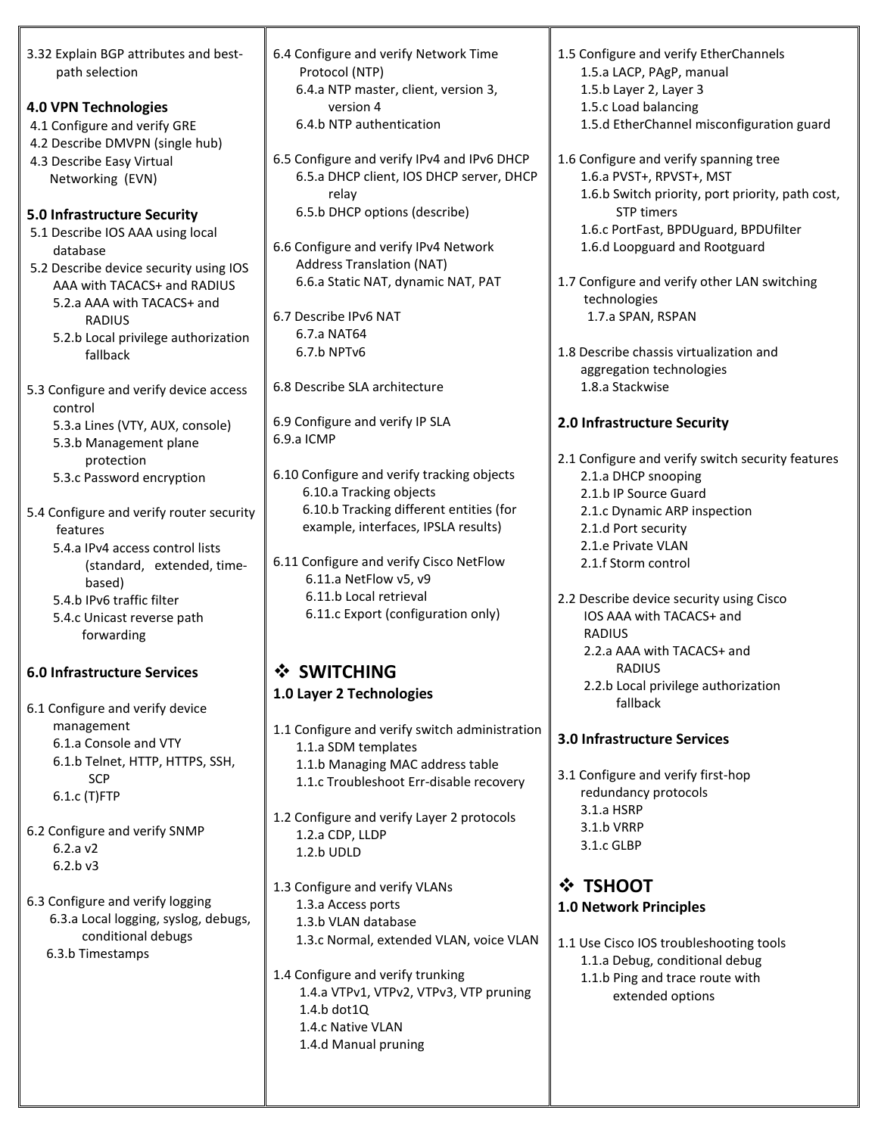| 3.32 Explain BGP attributes and best-                | 6.4 Configure and verify Network Time                                                   | 1.5 Configure and verify EtherChannels                                    |
|------------------------------------------------------|-----------------------------------------------------------------------------------------|---------------------------------------------------------------------------|
| path selection                                       | Protocol (NTP)                                                                          | 1.5.a LACP, PAgP, manual                                                  |
|                                                      | 6.4.a NTP master, client, version 3,                                                    | 1.5.b Layer 2, Layer 3                                                    |
| <b>4.0 VPN Technologies</b>                          | version 4                                                                               | 1.5.c Load balancing                                                      |
| 4.1 Configure and verify GRE                         | 6.4.b NTP authentication                                                                | 1.5.d EtherChannel misconfiguration guard                                 |
| 4.2 Describe DMVPN (single hub)                      |                                                                                         |                                                                           |
| 4.3 Describe Easy Virtual                            | 6.5 Configure and verify IPv4 and IPv6 DHCP<br>6.5.a DHCP client, IOS DHCP server, DHCP | 1.6 Configure and verify spanning tree<br>1.6.a PVST+, RPVST+, MST        |
| Networking (EVN)                                     | relay                                                                                   | 1.6.b Switch priority, port priority, path cost,                          |
| 5.0 Infrastructure Security                          | 6.5.b DHCP options (describe)                                                           | <b>STP</b> timers                                                         |
| 5.1 Describe IOS AAA using local                     |                                                                                         | 1.6.c PortFast, BPDUguard, BPDUfilter                                     |
| database                                             | 6.6 Configure and verify IPv4 Network                                                   | 1.6.d Loopguard and Rootguard                                             |
| 5.2 Describe device security using IOS               | <b>Address Translation (NAT)</b>                                                        |                                                                           |
| AAA with TACACS+ and RADIUS                          | 6.6.a Static NAT, dynamic NAT, PAT                                                      | 1.7 Configure and verify other LAN switching                              |
| 5.2.a AAA with TACACS+ and                           |                                                                                         | technologies                                                              |
| <b>RADIUS</b>                                        | 6.7 Describe IPv6 NAT                                                                   | 1.7.a SPAN, RSPAN                                                         |
| 5.2.b Local privilege authorization                  | 6.7.a NAT64                                                                             |                                                                           |
| fallback                                             | 6.7.b NPTv6                                                                             | 1.8 Describe chassis virtualization and                                   |
|                                                      |                                                                                         | aggregation technologies                                                  |
| 5.3 Configure and verify device access               | 6.8 Describe SLA architecture                                                           | 1.8.a Stackwise                                                           |
| control                                              |                                                                                         |                                                                           |
| 5.3.a Lines (VTY, AUX, console)                      | 6.9 Configure and verify IP SLA                                                         | 2.0 Infrastructure Security                                               |
| 5.3.b Management plane                               | 6.9.a ICMP                                                                              |                                                                           |
| protection                                           | 6.10 Configure and verify tracking objects                                              | 2.1 Configure and verify switch security features                         |
| 5.3.c Password encryption                            | 6.10.a Tracking objects                                                                 | 2.1.a DHCP snooping<br>2.1.b IP Source Guard                              |
|                                                      | 6.10.b Tracking different entities (for                                                 | 2.1.c Dynamic ARP inspection                                              |
| 5.4 Configure and verify router security<br>features | example, interfaces, IPSLA results)                                                     | 2.1.d Port security                                                       |
| 5.4.a IPv4 access control lists                      |                                                                                         | 2.1.e Private VLAN                                                        |
| (standard, extended, time-                           | 6.11 Configure and verify Cisco NetFlow                                                 | 2.1.f Storm control                                                       |
| based)                                               | 6.11.a NetFlow v5, v9                                                                   |                                                                           |
| 5.4.b IPv6 traffic filter                            | 6.11.b Local retrieval                                                                  | 2.2 Describe device security using Cisco                                  |
| 5.4.c Unicast reverse path                           | 6.11.c Export (configuration only)                                                      | IOS AAA with TACACS+ and                                                  |
| forwarding                                           |                                                                                         | <b>RADIUS</b>                                                             |
|                                                      |                                                                                         | 2.2.a AAA with TACACS+ and                                                |
| <b>6.0 Infrastructure Services</b>                   | ❖ SWITCHING                                                                             | RADIUS                                                                    |
|                                                      | 1.0 Layer 2 Technologies                                                                | 2.2.b Local privilege authorization                                       |
| 6.1 Configure and verify device                      |                                                                                         | fallback                                                                  |
| management                                           | 1.1 Configure and verify switch administration                                          |                                                                           |
| 6.1.a Console and VTY                                | 1.1.a SDM templates                                                                     | <b>3.0 Infrastructure Services</b>                                        |
| 6.1.b Telnet, HTTP, HTTPS, SSH,                      | 1.1.b Managing MAC address table                                                        | 3.1 Configure and verify first-hop                                        |
| SCP                                                  | 1.1.c Troubleshoot Err-disable recovery                                                 | redundancy protocols                                                      |
| 6.1.c (T)FTP                                         |                                                                                         | 3.1.a HSRP                                                                |
|                                                      | 1.2 Configure and verify Layer 2 protocols                                              | 3.1.b VRRP                                                                |
| 6.2 Configure and verify SNMP<br>6.2.aV2             | 1.2.a CDP, LLDP                                                                         | 3.1.c GLBP                                                                |
| $6.2.b$ $v3$                                         | 1.2.b UDLD                                                                              |                                                                           |
|                                                      |                                                                                         | <b>☆ TSHOOT</b>                                                           |
| 6.3 Configure and verify logging                     | 1.3 Configure and verify VLANs<br>1.3.a Access ports                                    |                                                                           |
| 6.3.a Local logging, syslog, debugs,                 | 1.3.b VLAN database                                                                     | <b>1.0 Network Principles</b>                                             |
| conditional debugs                                   | 1.3.c Normal, extended VLAN, voice VLAN                                                 |                                                                           |
| 6.3.b Timestamps                                     |                                                                                         | 1.1 Use Cisco IOS troubleshooting tools<br>1.1.a Debug, conditional debug |
|                                                      | 1.4 Configure and verify trunking                                                       | 1.1.b Ping and trace route with                                           |
|                                                      | 1.4.a VTPv1, VTPv2, VTPv3, VTP pruning                                                  | extended options                                                          |
|                                                      | $1.4.b$ dot $1Q$                                                                        |                                                                           |
|                                                      | 1.4.c Native VLAN                                                                       |                                                                           |
|                                                      | 1.4.d Manual pruning                                                                    |                                                                           |
|                                                      |                                                                                         |                                                                           |
|                                                      |                                                                                         |                                                                           |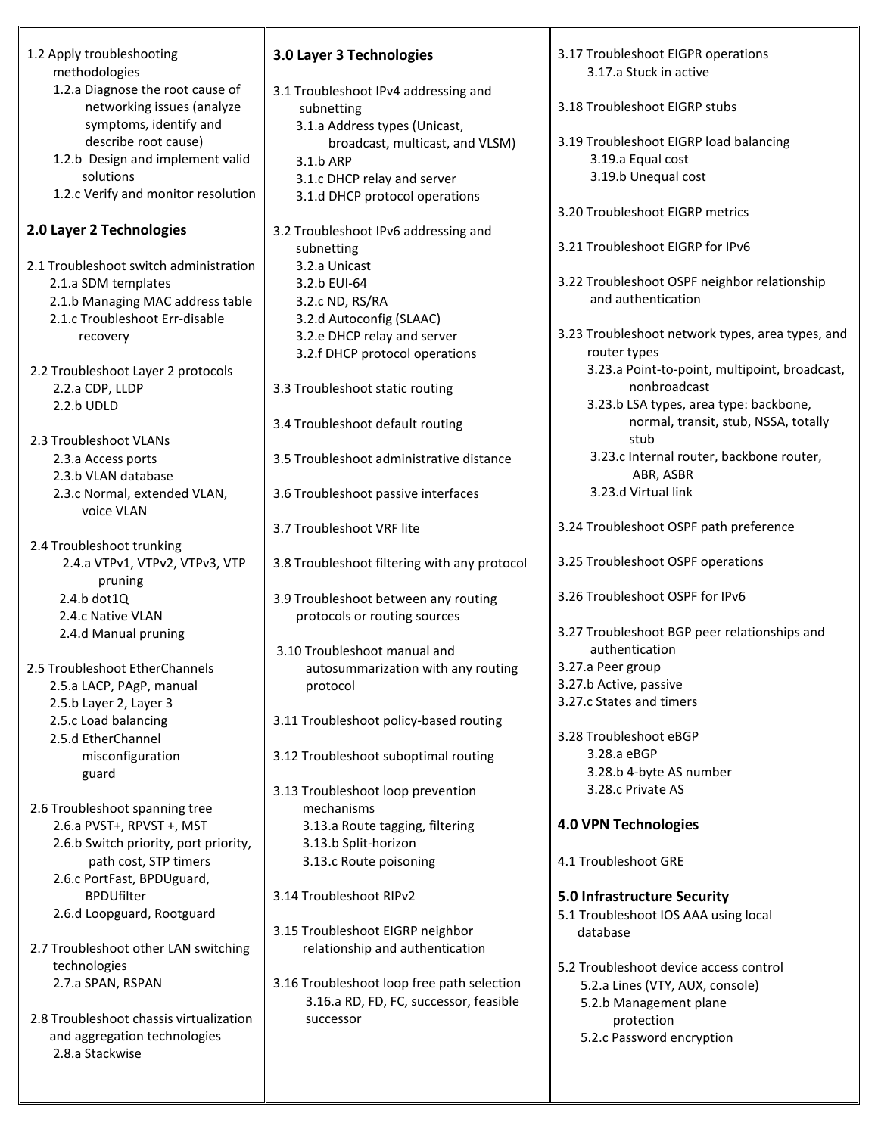| 1.2 Apply troubleshooting                                          | 3.0 Layer 3 Technologies                                      | 3.17 Troubleshoot EIGPR operations               |
|--------------------------------------------------------------------|---------------------------------------------------------------|--------------------------------------------------|
| methodologies                                                      |                                                               | 3.17.a Stuck in active                           |
| 1.2.a Diagnose the root cause of                                   | 3.1 Troubleshoot IPv4 addressing and                          |                                                  |
| networking issues (analyze                                         | subnetting                                                    | 3.18 Troubleshoot EIGRP stubs                    |
| symptoms, identify and                                             | 3.1.a Address types (Unicast,                                 |                                                  |
| describe root cause)                                               | broadcast, multicast, and VLSM)                               | 3.19 Troubleshoot EIGRP load balancing           |
| 1.2.b Design and implement valid                                   | 3.1.b ARP                                                     | 3.19.a Equal cost                                |
| solutions                                                          | 3.1.c DHCP relay and server                                   | 3.19.b Unequal cost                              |
| 1.2.c Verify and monitor resolution                                | 3.1.d DHCP protocol operations                                |                                                  |
|                                                                    |                                                               | 3.20 Troubleshoot EIGRP metrics                  |
| 2.0 Layer 2 Technologies                                           | 3.2 Troubleshoot IPv6 addressing and                          | 3.21 Troubleshoot EIGRP for IPv6                 |
|                                                                    | subnetting                                                    |                                                  |
| 2.1 Troubleshoot switch administration                             | 3.2.a Unicast                                                 | 3.22 Troubleshoot OSPF neighbor relationship     |
| 2.1.a SDM templates                                                | 3.2.b EUI-64                                                  | and authentication                               |
| 2.1.b Managing MAC address table<br>2.1.c Troubleshoot Err-disable | 3.2.c ND, RS/RA<br>3.2.d Autoconfig (SLAAC)                   |                                                  |
|                                                                    |                                                               | 3.23 Troubleshoot network types, area types, and |
| recovery                                                           | 3.2.e DHCP relay and server<br>3.2.f DHCP protocol operations | router types                                     |
|                                                                    |                                                               | 3.23.a Point-to-point, multipoint, broadcast,    |
| 2.2 Troubleshoot Layer 2 protocols<br>2.2.a CDP, LLDP              | 3.3 Troubleshoot static routing                               | nonbroadcast                                     |
| 2.2.b UDLD                                                         |                                                               | 3.23.b LSA types, area type: backbone,           |
|                                                                    | 3.4 Troubleshoot default routing                              | normal, transit, stub, NSSA, totally             |
| 2.3 Troubleshoot VLANs                                             |                                                               | stub                                             |
| 2.3.a Access ports                                                 | 3.5 Troubleshoot administrative distance                      | 3.23.c Internal router, backbone router,         |
| 2.3.b VLAN database                                                |                                                               | ABR, ASBR                                        |
| 2.3.c Normal, extended VLAN,                                       | 3.6 Troubleshoot passive interfaces                           | 3.23.d Virtual link                              |
| voice VLAN                                                         |                                                               |                                                  |
|                                                                    | 3.7 Troubleshoot VRF lite                                     | 3.24 Troubleshoot OSPF path preference           |
| 2.4 Troubleshoot trunking                                          |                                                               |                                                  |
| 2.4.a VTPv1, VTPv2, VTPv3, VTP                                     | 3.8 Troubleshoot filtering with any protocol                  | 3.25 Troubleshoot OSPF operations                |
| pruning                                                            |                                                               |                                                  |
| 2.4.b dot1Q                                                        | 3.9 Troubleshoot between any routing                          | 3.26 Troubleshoot OSPF for IPv6                  |
| 2.4.c Native VLAN                                                  | protocols or routing sources                                  |                                                  |
| 2.4.d Manual pruning                                               |                                                               | 3.27 Troubleshoot BGP peer relationships and     |
|                                                                    | 3.10 Troubleshoot manual and                                  | authentication                                   |
| 2.5 Troubleshoot EtherChannels                                     | autosummarization with any routing                            | 3.27.a Peer group                                |
| 2.5.a LACP, PAgP, manual                                           | protocol                                                      | 3.27.b Active, passive                           |
| 2.5.b Layer 2, Layer 3                                             |                                                               | 3.27.c States and timers                         |
| 2.5.c Load balancing                                               | 3.11 Troubleshoot policy-based routing                        |                                                  |
| 2.5.d EtherChannel                                                 |                                                               | 3.28 Troubleshoot eBGP                           |
| misconfiguration                                                   | 3.12 Troubleshoot suboptimal routing                          | 3.28.a eBGP                                      |
| guard                                                              |                                                               | 3.28.b 4-byte AS number                          |
|                                                                    | 3.13 Troubleshoot loop prevention                             | 3.28.c Private AS                                |
| 2.6 Troubleshoot spanning tree                                     | mechanisms                                                    |                                                  |
| 2.6.a PVST+, RPVST +, MST                                          | 3.13.a Route tagging, filtering                               | <b>4.0 VPN Technologies</b>                      |
| 2.6.b Switch priority, port priority,                              | 3.13.b Split-horizon                                          |                                                  |
| path cost, STP timers                                              | 3.13.c Route poisoning                                        | 4.1 Troubleshoot GRE                             |
| 2.6.c PortFast, BPDUguard,                                         |                                                               |                                                  |
| <b>BPDUfilter</b>                                                  | 3.14 Troubleshoot RIPv2                                       | <b>5.0 Infrastructure Security</b>               |
| 2.6.d Loopguard, Rootguard                                         |                                                               | 5.1 Troubleshoot IOS AAA using local             |
|                                                                    | 3.15 Troubleshoot EIGRP neighbor                              | database                                         |
| 2.7 Troubleshoot other LAN switching                               | relationship and authentication                               |                                                  |
| technologies                                                       |                                                               | 5.2 Troubleshoot device access control           |
| 2.7.a SPAN, RSPAN                                                  | 3.16 Troubleshoot loop free path selection                    | 5.2.a Lines (VTY, AUX, console)                  |
| 2.8 Troubleshoot chassis virtualization                            | 3.16.a RD, FD, FC, successor, feasible                        | 5.2.b Management plane                           |
|                                                                    | successor                                                     | protection                                       |
| and aggregation technologies<br>2.8.a Stackwise                    |                                                               | 5.2.c Password encryption                        |
|                                                                    |                                                               |                                                  |
|                                                                    |                                                               |                                                  |